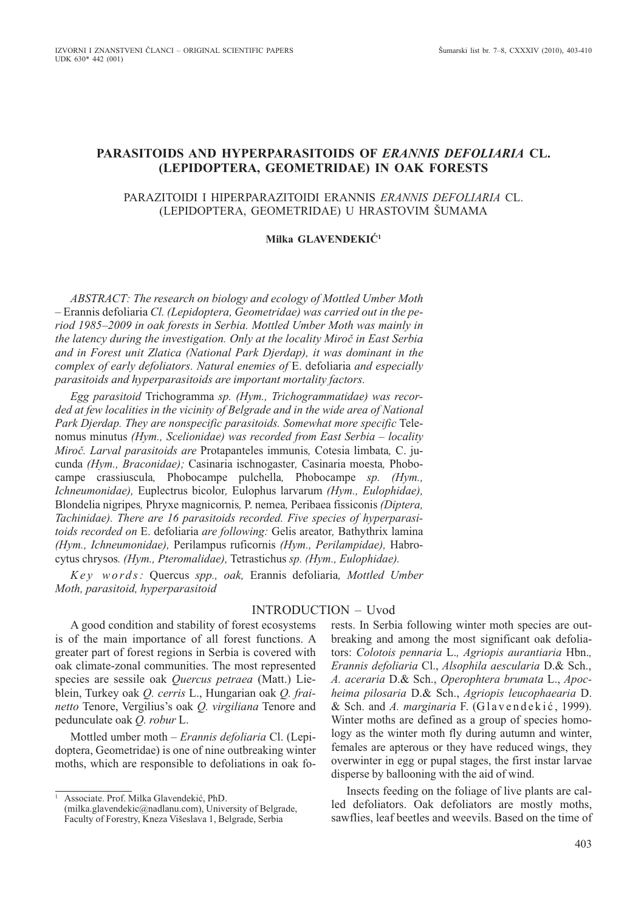# **PARASITOIDS AND HYPERPARASITOIDS OF** *ERANNIS DEFOLIARIA* **CL. (LEPIDOPTERA, GEOMETRIDAE) IN OAK FORESTS**

### PARAZITOIDI I HIPERPARAZITOIDI ERANNIS *ERANNIS DEFOLIARIA* CL. (LEPIDOPTERA, GEOMETRIDAE) U HRASTOVIM ŠUMAMA

# **Milka GLAVENDEKIĆ1**

*ABSTRACT: The research on biology and ecology of Mottled Umber Moth –* Erannis defoliaria *Cl. (Lepidoptera, Geometridae) was carried out in the period 1985–2009 in oak forests in Serbia. Mottled Umber Moth was mainly in the latency during the investigation. Only at the locality Miroč in East Serbia and in Forest unit Zlatica (National Park Djerdap), it was dominant in the complex of early defoliators. Natural enemies of* E. defoliaria *and especially parasitoids and hyperparasitoids are important mortality factors.* 

*Egg parasitoid* Trichogramma *sp. (Hym., Trichogrammatidae) was recorded at few localities in the vicinity of Belgrade and in the wide area of National Park Djerdap. They are nonspecific parasitoids. Somewhat more specific* Telenomus minutus *(Hym., Scelionidae) was recorded from East Serbia – locality Miroč. Larval parasitoids are* Protapanteles immunis*,* Cotesia limbata*,* C. jucunda *(Hym., Braconidae);* Casinaria ischnogaster*,* Casinaria moesta*,* Phobocampe crassiuscula*,* Phobocampe pulchella*,* Phobocampe *sp. (Hym., Ichneumonidae),* Euplectrus bicolor*,* Eulophus larvarum *(Hym., Eulophidae),* Blondelia nigripes*,* Phryxe magnicornis*,* P. nemea*,* Peribaea fissiconis *(Diptera, Tachinidae). There are 16 parasitoids recorded. Five species of hyperparasitoids recorded on* E. defoliaria *are following:* Gelis areator*,* Bathythrix lamina *(Hym., Ichneumonidae),* Perilampus ruficornis *(Hym., Perilampidae),* Habrocytus chrysos*. (Hym., Pteromalidae),* Tetrastichus *sp. (Hym., Eulophidae).*

*K e y w o rd s :* Quercus *spp., oak,* Erannis defoliaria*, Mottled Umber Moth, parasitoid, hyperparasitoid*

### INTRODUCTION – Uvod

A good condition and stability of forest ecosystems is of the main importance of all forest functions. A greater part of forest regions in Serbia is covered with oak climate-zonal communities. The most represented species are sessile oak *Quercus petraea* (Matt.) Lieblein, Turkey oak *Q. cerris* L., Hungarian oak *Q. frainetto* Tenore, Vergilius's oak *Q. virgiliana* Tenore and pedunculate oak *Q. robur* L.

Mottled umber moth – *Erannis defoliaria* Cl. (Lepidoptera, Geometridae) is one of nine outbreaking winter moths, which are responsible to defoliations in oak forests. In Serbia following winter moth species are outbreaking and among the most significant oak defoliators: *Colotois pennaria* L.*, Agriopis aurantiaria* Hbn.*, Erannis defoliaria* Cl., *Alsophila aescularia* D.& Sch., *A. aceraria* D.& Sch., *Operophtera brumata* L., *Apocheima pilosaria* D.& Sch., *Agriopis leucophaearia* D. & Sch. and *A. marginaria* F. (Glavendekić, 1999). Winter moths are defined as a group of species homology as the winter moth fly during autumn and winter, females are apterous or they have reduced wings, they overwinter in egg or pupal stages, the first instar larvae disperse by ballooning with the aid of wind.

Insects feeding on the foliage of live plants are called defoliators. Oak defoliators are mostly moths, sawflies, leaf beetles and weevils. Based on the time of

<sup>&</sup>lt;sup>1</sup> Associate. Prof. Milka Glavendekić, PhD.

<sup>(</sup>milka.glavendekic@nadlanu.com), University of Belgrade, Faculty of Forestry, Kneza Višeslava 1, Belgrade, Serbia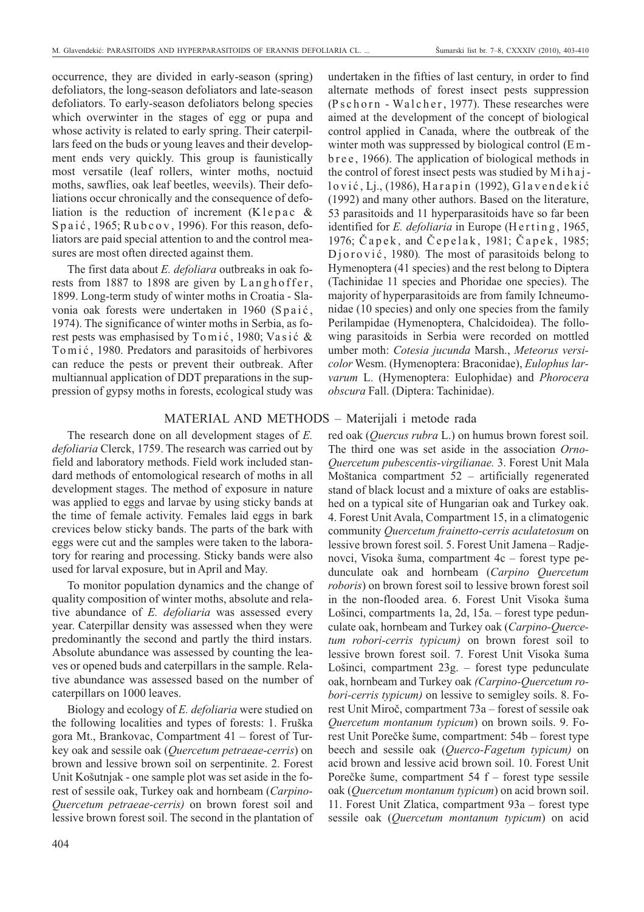occurrence, they are divided in early-season (spring) defoliators, the long-season defoliators and late-season defoliators. To early-season defoliators belong species which overwinter in the stages of egg or pupa and whose activity is related to early spring. Their caterpillars feed on the buds or young leaves and their development ends very quickly. This group is faunistically most versatile (leaf rollers, winter moths, noctuid moths, sawflies, oak leaf beetles, weevils). Their defoliations occur chronically and the consequence of defoliation is the reduction of increment (Klepac & Spaić, 1965;  $R$ ubcov, 1996). For this reason, defoliators are paid special attention to and the control measures are most often directed against them.

The first data about *E. defoliara* outbreaks in oak forests from 1887 to 1898 are given by Langhoffer, 1899. Long-term study of winter moths in Croatia - Slavonia oak forests were undertaken in 1960 (Spaić, 1974). The significance of winter moths in Serbia, as forest pests was emphasised by  $T$ o m i ć, 1980; Vasić & To m i ć, 1980. Predators and parasitoids of herbivores can reduce the pests or prevent their outbreak. After multiannual application of DDT preparations in the suppression of gypsy moths in forests, ecological study was

The research done on all development stages of *E. defoliaria* Clerck, 1759. The research was carried out by field and laboratory methods. Field work included standard methods of entomological research of moths in all development stages. The method of exposure in nature was applied to eggs and larvae by using sticky bands at the time of female activity. Females laid eggs in bark crevices below sticky bands. The parts of the bark with eggs were cut and the samples were taken to the laboratory for rearing and processing. Sticky bands were also used for larval exposure, but in April and May.

To monitor population dynamics and the change of quality composition of winter moths, absolute and relative abundance of *E. defoliaria* was assessed every year. Caterpillar density was assessed when they were predominantly the second and partly the third instars. Absolute abundance was assessed by counting the leaves or opened buds and caterpillars in the sample. Relative abundance was assessed based on the number of caterpillars on 1000 leaves.

Biology and ecology of *E. defoliaria* were studied on the following localities and types of forests: 1. Fruška gora Mt., Brankovac, Compartment 41 – forest of Turkey oak and sessile oak (*Quercetum petraeae-cerris*) on brown and lessive brown soil on serpentinite. 2. Forest Unit Košutnjak - one sample plot was set aside in the forest of sessile oak, Turkey oak and hornbeam (*Carpino-Quercetum petraeae-cerris)* on brown forest soil and lessive brown forest soil. The second in the plantation of undertaken in the fifties of last century, in order to find alternate methods of forest insect pests suppression  $(P<sub>s</sub>chorn - Walcher, 1977)$ . These researches were aimed at the development of the concept of biological control applied in Canada, where the outbreak of the winter moth was suppressed by biological control (E m bree, 1966). The application of biological methods in the control of forest insect pests was studied by Mihaj $lovi$ ć, Lj., (1986), Harapin (1992), Glavendekić (1992) and many other authors. Based on the literature, 53 parasitoids and 11 hyperparasitoids have so far been identified for *E. defoliaria* in Europe (Herting, 1965, 1976; Čapek, and Čepelak, 1981; Čapek, 1985; Djorović, 1980). The most of parasitoids belong to Hymenoptera (41 species) and the rest belong to Diptera (Tachinidae 11 species and Phoridae one species). The majority of hyperparasitoids are from family Ichneumonidae (10 species) and only one species from the family Perilampidae (Hymenoptera, Chalcidoidea). The following parasitoids in Serbia were recorded on mottled umber moth: *Cotesia jucunda* Marsh., *Meteorus versicolor* Wesm. (Hymenoptera: Braconidae), *Eulophus larvarum* L. (Hymenoptera: Eulophidae) and *Phorocera obscura* Fall. (Diptera: Tachinidae).

# MATERIAL AND METHODS – Materijali i metode rada

red oak (*Quercus rubra* L.) on humus brown forest soil. The third one was set aside in the association *Orno-Quercetum pubescentis-virgilianae.* 3. Forest Unit Mala Moštanica compartment 52 – artificially regenerated stand of black locust and a mixture of oaks are established on a typical site of Hungarian oak and Turkey oak. 4. Forest Unit Avala, Compartment 15, in a climatogenic community *Quercetum frainetto-cerris aculatetosum* on lessive brown forest soil. 5. Forest Unit Jamena – Radjenovci, Visoka šuma, compartment 4c – forest type pedunculate oak and hornbeam (*Carpino Quercetum roboris*) on brown forest soil to lessive brown forest soil in the non-flooded area. 6. Forest Unit Visoka šuma Lošinci, compartments 1a, 2d, 15a. – forest type pedunculate oak, hornbeam and Turkey oak (*Carpino-Quercetum robori-cerris typicum)* on brown forest soil to lessive brown forest soil. 7. Forest Unit Visoka šuma Lošinci, compartment 23g. – forest type pedunculate oak, hornbeam and Turkey oak *(Carpino-Quercetum robori-cerris typicum)* on lessive to semigley soils. 8. Forest Unit Miroč, compartment 73a – forest of sessile oak *Quercetum montanum typicum*) on brown soils. 9. Forest Unit Porečke šume, compartment: 54b – forest type beech and sessile oak (*Querco-Fagetum typicum)* on acid brown and lessive acid brown soil. 10. Forest Unit Porečke šume, compartment 54 f – forest type sessile oak (*Quercetum montanum typicum*) on acid brown soil. 11. Forest Unit Zlatica, compartment 93a – forest type sessile oak (*Quercetum montanum typicum*) on acid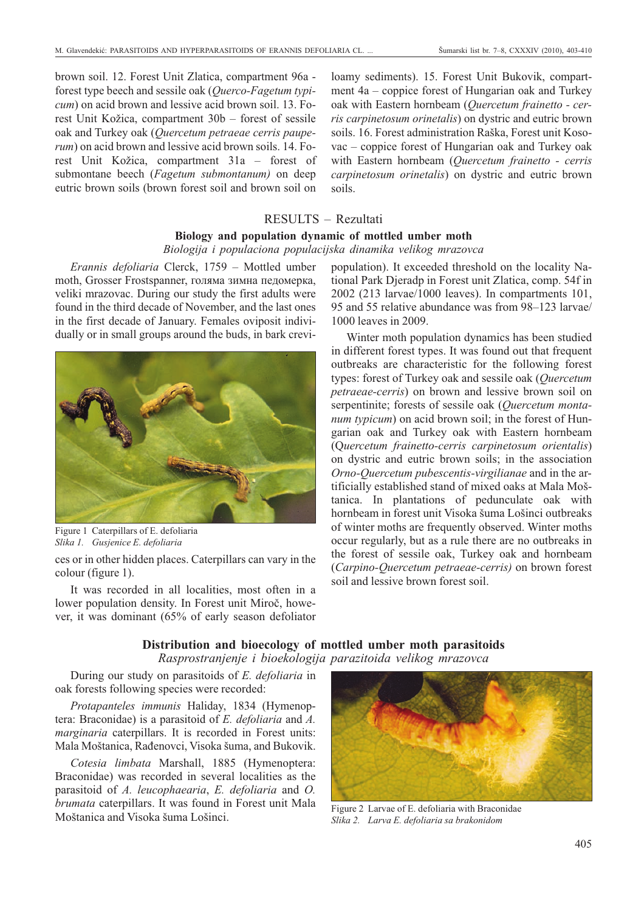brown soil. 12. Forest Unit Zlatica, compartment 96a forest type beech and sessile oak (*Querco-Fagetum typicum*) on acid brown and lessive acid brown soil. 13. Forest Unit Kožica, compartment 30b – forest of sessile oak and Turkey oak (*Quercetum petraeae cerris pauperum*) on acid brown and lessive acid brown soils. 14. Forest Unit Kožica, compartment 31a – forest of submontane beech (*Fagetum submontanum)* on deep eutric brown soils (brown forest soil and brown soil on loamy sediments). 15. Forest Unit Bukovik, compartment 4a – coppice forest of Hungarian oak and Turkey oak with Eastern hornbeam (*Quercetum frainetto - cerris carpinetosum orinetalis*) on dystric and eutric brown soils. 16. Forest administration Raška, Forest unit Kosovac – coppice forest of Hungarian oak and Turkey oak with Eastern hornbeam (*Quercetum frainetto - cerris carpinetosum orinetalis*) on dystric and eutric brown soils.

# RESULTS – Rezultati

### **Biology and population dynamic of mottled umber moth**

#### *Biologija i populaciona populacijska dinamika velikog mrazovca*

*Erannis defoliaria* Clerck, 1759 – Mottled umber moth, Grosser Frostspanner, голяма зимна педомерка, veliki mrazovac. During our study the first adults were found in the third decade of November, and the last ones in the first decade of January. Females oviposit individually or in small groups around the buds, in bark crevi-



Figure 1 Caterpillars of E. defoliaria *Slika 1. Gusjenice E. defoliaria*

ces or in other hidden places. Caterpillars can vary in the colour (figure 1).

It was recorded in all localities, most often in a lower population density. In Forest unit Miroč, however, it was dominant (65% of early season defoliator population). It exceeded threshold on the locality National Park Djeradp in Forest unit Zlatica, comp. 54f in 2002 (213 larvae/1000 leaves). In compartments 101, 95 and 55 relative abundance was from 98–123 larvae/ 1000 leaves in 2009.

Winter moth population dynamics has been studied in different forest types. It was found out that frequent outbreaks are characteristic for the following forest types: forest of Turkey oak and sessile oak (*Quercetum petraeae-cerris*) on brown and lessive brown soil on serpentinite; forests of sessile oak (*Quercetum montanum typicum*) on acid brown soil; in the forest of Hungarian oak and Turkey oak with Eastern hornbeam (Q*uercetum frainetto-cerris carpinetosum orientalis*) on dystric and eutric brown soils; in the association *Orno-Quercetum pubescentis-virgilianae* and in the artificially established stand of mixed oaks at Mala Moš tanica. In plantations of pedunculate oak with hornbeam in forest unit Visoka šuma Lošinci outbreaks of winter moths are frequently observed. Winter moths occur regularly, but as a rule there are no outbreaks in the forest of sessile oak, Turkey oak and hornbeam (*Carpino-Quercetum petraeae-cerris)* on brown forest soil and lessive brown forest soil.

### **Distribution and bioecology of mottled umber moth parasitoids** *Rasprostranjenje i bioekologija parazitoida velikog mrazovca*

During our study on parasitoids of *E. defoliaria* in oak forests following species were recorded:

*Protapanteles immunis* Haliday, 1834 (Hymenoptera: Braconidae) is a parasitoid of *E. defoliaria* and *A. marginaria* caterpillars. It is recorded in Forest units: Mala Moštanica, Rađenovci, Visoka šuma, and Bukovik.

*Cotesia limbata* Marshall, 1885 (Hymenoptera: Braconidae) was recorded in several localities as the parasitoid of *A. leucophaearia*, *E. defoliaria* and *O. brumata* caterpillars. It was found in Forest unit Mala *Manda* Caterpinars. It was found in Forest unit Iviala Figure 2 Larvae of E. defoliaria with Braconidae Moštanica and Visoka šuma Lošinci.



*Slika 2. Larva E. defoliaria sa brakonidom*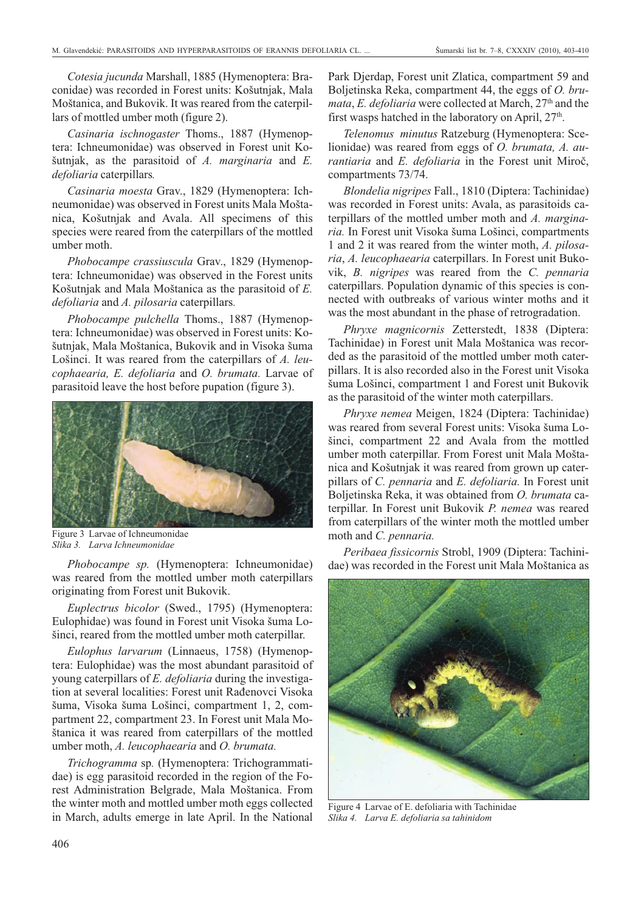*Cotesia jucunda* Marshall, 1885 (Hymenoptera: Braconidae) was recorded in Forest units: Košutnjak, Mala Moštanica, and Bukovik. It was reared from the caterpillars of mottled umber moth (figure 2).

*Casinaria ischnogaster* Thoms., 1887 (Hymenoptera: Ichneumonidae) was observed in Forest unit Košutnjak, as the parasitoid of *A. marginaria* and *E. defoliaria* caterpillars*.*

*Casinaria moesta* Grav., 1829 (Hymenoptera: Ichneumonidae) was observed in Forest units Mala Moštanica, Košutnjak and Avala. All specimens of this species were reared from the caterpillars of the mottled umber moth.

*Phobocampe crassiuscula* Grav., 1829 (Hymenoptera: Ichneumonidae) was observed in the Forest units Košutnjak and Mala Moštanica as the parasitoid of *E. defoliaria* and *A. pilosaria* caterpillars*.*

*Phobocampe pulchella* Thoms., 1887 (Hymenoptera: Ichneumonidae) was observed in Forest units: Košutnjak, Mala Moštanica, Bukovik and in Visoka šuma Lošinci. It was reared from the caterpillars of *A. leucophaearia, E. defoliaria* and *O. brumata.* Larvae of parasitoid leave the host before pupation (figure 3).



Figure 3 Larvae of Ichneumonidae *Slika 3. Larva Ichneumonidae*

*Phobocampe sp.* (Hymenoptera: Ichneumonidae) was reared from the mottled umber moth caterpillars originating from Forest unit Bukovik.

*Euplectrus bicolor* (Swed., 1795) (Hymenoptera: Eulophidae) was found in Forest unit Visoka šuma Lošinci, reared from the mottled umber moth caterpillar.

*Eulophus larvarum* (Linnaeus, 1758) (Hymenoptera: Eulophidae) was the most abundant parasitoid of young caterpillars of *E. defoliaria* during the investigation at several localities: Forest unit Rađenovci Visoka šuma, Visoka šuma Lošinci, compartment 1, 2, compartment 22, compartment 23. In Forest unit Mala Moštanica it was reared from caterpillars of the mottled umber moth, *A. leucophaearia* and *O. brumata.*

*Trichogramma* sp*.* (Hymenoptera: Trichogrammatidae) is egg parasitoid recorded in the region of the Forest Administration Belgrade, Mala Moštanica. From the winter moth and mottled umber moth eggs collected in March, adults emerge in late April. In the National

Park Djerdap, Forest unit Zlatica, compartment 59 and Boljetinska Reka, compartment 44, the eggs of *O. brumata, E. defoliaria* were collected at March, 27<sup>th</sup> and the first wasps hatched in the laboratory on April,  $27<sup>th</sup>$ .

*Telenomus minutus* Ratzeburg (Hymenoptera: Scelionidae) was reared from eggs of *O. brumata, A. aurantiaria* and *E. defoliaria* in the Forest unit Miroč, compartments 73/74.

*Blondelia nigripes* Fall., 1810 (Diptera: Tachinidae) was recorded in Forest units: Avala, as parasitoids caterpillars of the mottled umber moth and *A. marginaria.* In Forest unit Visoka šuma Lošinci, compartments 1 and 2 it was reared from the winter moth, *A. pilosaria*, *A. leucophaearia* caterpillars. In Forest unit Bukovik, *B. nigripes* was reared from the *C. pennaria* caterpillars. Population dynamic of this species is connected with outbreaks of various winter moths and it was the most abundant in the phase of retrogradation.

*Phryxe magnicornis* Zetterstedt, 1838 (Diptera: Tachinidae) in Forest unit Mala Moštanica was recorded as the parasitoid of the mottled umber moth caterpillars. It is also recorded also in the Forest unit Visoka šuma Lošinci, compartment 1 and Forest unit Bukovik as the parasitoid of the winter moth caterpillars.

*Phryxe nemea* Meigen, 1824 (Diptera: Tachinidae) was reared from several Forest units: Visoka šuma Lošinci, compartment 22 and Avala from the mottled umber moth caterpillar. From Forest unit Mala Moštanica and Košutnjak it was reared from grown up caterpillars of *C. pennaria* and *E. defoliaria.* In Forest unit Boljetinska Reka, it was obtained from *O. brumata* caterpillar. In Forest unit Bukovik *P. nemea* was reared from caterpillars of the winter moth the mottled umber moth and *C. pennaria.*

*Peribaea fissicornis* Strobl, 1909 (Diptera: Tachinidae) was recorded in the Forest unit Mala Moštanica as



Figure 4 Larvae of E. defoliaria with Tachinidae *Slika 4. Larva E. defoliaria sa tahinidom*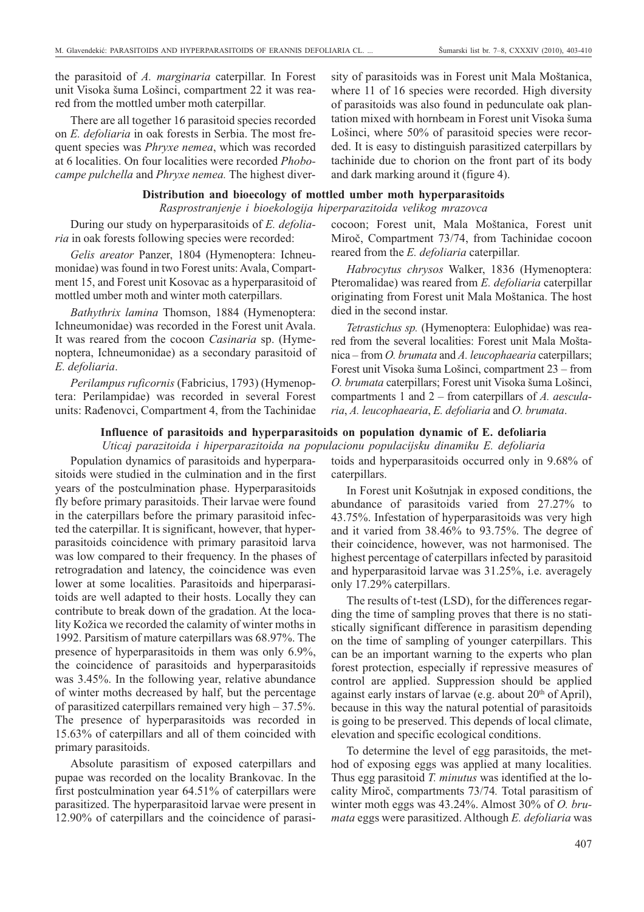the parasitoid of *A. marginaria* caterpillar. In Forest unit Visoka šuma Lošinci, compartment 22 it was reared from the mottled umber moth caterpillar*.*

There are all together 16 parasitoid species recorded on *E. defoliaria* in oak forests in Serbia. The most frequent species was *Phryxe nemea*, which was recorded at 6 localities. On four localities were recorded *Phobocampe pulchella* and *Phryxe nemea.* The highest diver-

# **Distribution and bioecology of mottled umber moth hyperparasitoids**

#### *Rasprostranjenje i bioekologija hiperparazitoida velikog mrazovca*

During our study on hyperparasitoids of *E. defoliaria* in oak forests following species were recorded:

Gelis areator Panzer, 1804 (Hymenoptera: Ichneumonidae) was found in two Forest units: Avala, Compartment 15, and Forest unit Kosovac as a hyperparasitoid of mottled umber moth and winter moth caterpillars.

*Bathythrix lamina* Thomson, 1884 (Hymenoptera: Ichneumonidae) was recorded in the Forest unit Avala. It was reared from the cocoon *Casinaria* sp. (Hymenoptera, Ichneumonidae) as a secondary parasitoid of *E. defoliaria*.

*Perilampus ruficornis* (Fabricius, 1793) (Hymenoptera: Perilampidae) was recorded in several Forest units: Rađenovci, Compartment 4, from the Tachinidae

#### **Influence of parasitoids and hyperparasitoids on population dynamic of E. defoliaria**

Population dynamics of parasitoids and hyperparasitoids were studied in the culmination and in the first years of the postculmination phase. Hyperparasitoids fly before primary parasitoids. Their larvae were found in the caterpillars before the primary parasitoid infected the caterpillar. It is significant, however, that hyperparasitoids coincidence with primary parasitoid larva was low compared to their frequency. In the phases of retrogradation and latency, the coincidence was even lower at some localities. Parasitoids and hiperparasitoids are well adapted to their hosts. Locally they can contribute to break down of the gradation. At the locality Kožica we recorded the calamity of winter moths in 1992. Parsitism of mature caterpillars was 68.97%. The presence of hyperparasitoids in them was only 6.9%, the coincidence of parasitoids and hyperparasitoids was 3.45%. In the following year, relative abundance of winter moths decreased by half, but the percentage of parasitized caterpillars remained very high – 37.5%. The presence of hyperparasitoids was recorded in 15.63% of caterpillars and all of them coincided with primary parasitoids.

Absolute parasitism of exposed caterpillars and pupae was recorded on the locality Brankovac. In the first postculmination year 64.51% of caterpillars were parasitized. The hyperparasitoid larvae were present in 12.90% of caterpillars and the coincidence of parasisity of parasitoids was in Forest unit Mala Moštanica, where 11 of 16 species were recorded. High diversity of parasitoids was also found in pedunculate oak plantation mixed with hornbeam in Forest unit Visoka šuma Lošinci, where 50% of parasitoid species were recorded. It is easy to distinguish parasitized caterpillars by tachinide due to chorion on the front part of its body and dark marking around it (figure 4).

# cocoon; Forest unit, Mala Moštanica, Forest unit Miroč, Compartment 73/74, from Tachinidae cocoon reared from the *E. defoliaria* caterpillar*.*

*Habrocytus chrysos* Walker, 1836 (Hymenoptera: Pteromalidae) was reared from *E. defoliaria* caterpillar originating from Forest unit Mala Moštanica. The host died in the second instar.

*Tetrastichus sp.* (Hymenoptera: Eulophidae) was reared from the several localities: Forest unit Mala Moštanica – from *O. brumata* and *A. leucophaearia* caterpillars; Forest unit Visoka šuma Lošinci, compartment 23 – from *O. brumata* caterpillars; Forest unit Visoka šuma Lošinci, compartments 1 and 2 – from caterpillars of *A. aescularia*, *A. leucophaearia*, *E. defoliaria* and *O. brumata*.

*Uticaj parazitoida i hiperparazitoida na populacionu populacijsku dinamiku E. defoliaria* toids and hyperparasitoids occurred only in 9.68% of caterpillars.

> In Forest unit Košutnjak in exposed conditions, the abundance of parasitoids varied from 27.27% to 43.75%. Infestation of hyperparasitoids was very high and it varied from 38.46% to 93.75%. The degree of their coincidence, however, was not harmonised. The highest percentage of caterpillars infected by parasitoid and hyperparasitoid larvae was 31.25%, i.e. averagely only 17.29% caterpillars.

> The results of t-test (LSD), for the differences regarding the time of sampling proves that there is no statistically significant difference in parasitism depending on the time of sampling of younger caterpillars. This can be an important warning to the experts who plan forest protection, especially if repressive measures of control are applied. Suppression should be applied against early instars of larvae (e.g. about  $20<sup>th</sup>$  of April), because in this way the natural potential of parasitoids is going to be preserved. This depends of local climate, elevation and specific ecological conditions.

> To determine the level of egg parasitoids, the method of exposing eggs was applied at many localities. Thus egg parasitoid *T. minutus* was identified at the locality Miroč, compartments 73/74*.* Total parasitism of winter moth eggs was 43.24%. Almost 30% of *O. brumata* eggs were parasitized. Although *E. defoliaria* was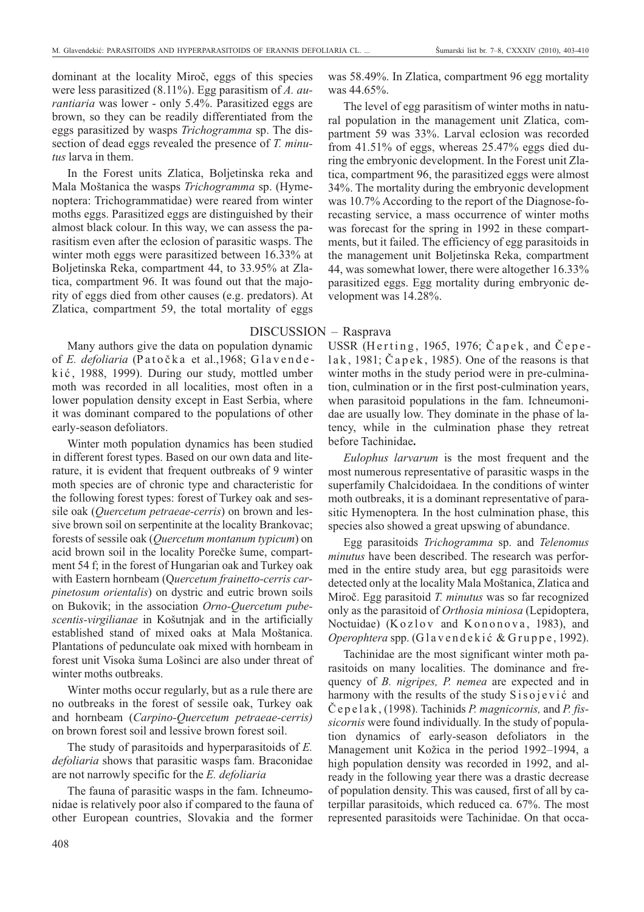dominant at the locality Miroč, eggs of this species were less parasitized (8.11%). Egg parasitism of *A. aurantiaria* was lower - only 5.4%. Parasitized eggs are brown, so they can be readily differentiated from the eggs parasitized by wasps *Trichogramma* sp. The dissection of dead eggs revealed the presence of *T. minutus* larva in them.

In the Forest units Zlatica, Boljetinska reka and Mala Moštanica the wasps *Trichogramma* sp. (Hymenoptera: Trichogrammatidae) were reared from winter moths eggs. Parasitized eggs are distinguished by their almost black colour. In this way, we can assess the parasitism even after the eclosion of parasitic wasps. The winter moth eggs were parasitized between 16.33% at Boljetinska Reka, compartment 44, to 33.95% at Zlatica, compartment 96. It was found out that the majority of eggs died from other causes (e.g. predators). At Zlatica, compartment 59, the total mortality of eggs

Many authors give the data on population dynamic of *E. defoliaria* (Patočka et al., 1968; Glavendekić, 1988, 1999). During our study, mottled umber moth was recorded in all localities, most often in a lower population density except in East Serbia, where it was dominant compared to the populations of other early-season defoliators.

Winter moth population dynamics has been studied in different forest types. Based on our own data and literature, it is evident that frequent outbreaks of 9 winter moth species are of chronic type and characteristic for the following forest types: forest of Turkey oak and sessile oak (*Quercetum petraeae-cerris*) on brown and lessive brown soil on serpentinite at the locality Brankovac; forests of sessile oak (*Quercetum montanum typicum*) on acid brown soil in the locality Porečke šume, compartment 54 f; in the forest of Hungarian oak and Turkey oak with Eastern hornbeam (Q*uercetum frainetto-cerris carpinetosum orientalis*) on dystric and eutric brown soils on Bukovik; in the association *Orno-Quercetum pubescentis-virgilianae* in Košutnjak and in the artificially established stand of mixed oaks at Mala Moštanica. Plantations of pedunculate oak mixed with hornbeam in forest unit Visoka šuma Lošinci are also under threat of winter moths outbreaks.

Winter moths occur regularly, but as a rule there are no outbreaks in the forest of sessile oak, Turkey oak and hornbeam (*Carpino-Quercetum petraeae-cerris)* on brown forest soil and lessive brown forest soil.

The study of parasitoids and hyperparasitoids of *E. defoliaria* shows that parasitic wasps fam. Braconidae are not narrowly specific for the *E. defoliaria*

The fauna of parasitic wasps in the fam. Ichneumonidae is relatively poor also if compared to the fauna of other European countries, Slovakia and the former was 58.49%. In Zlatica, compartment 96 egg mortality was 44.65%.

The level of egg parasitism of winter moths in natural population in the management unit Zlatica, compartment 59 was 33%. Larval eclosion was recorded from 41.51% of eggs, whereas 25.47% eggs died during the embryonic development. In the Forest unit Zlatica, compartment 96, the parasitized eggs were almost 34%. The mortality during the embryonic development was 10.7% According to the report of the Diagnose-forecasting service, a mass occurrence of winter moths was forecast for the spring in 1992 in these compartments, but it failed. The efficiency of egg parasitoids in the management unit Boljetinska Reka, compartment 44, was somewhat lower, there were altogether 16.33% parasitized eggs. Egg mortality during embryonic development was 14.28%.

### DISCUSSION – Rasprava

USSR (Herting, 1965, 1976; Čapek, and Čepelak, 1981; Čapek, 1985). One of the reasons is that winter moths in the study period were in pre-culmination, culmination or in the first post-culmination years, when parasitoid populations in the fam. Ichneumonidae are usually low. They dominate in the phase of latency, while in the culmination phase they retreat before Tachinidae**.**

*Eulophus larvarum* is the most frequent and the most numerous representative of parasitic wasps in the superfamily Chalcidoidaea*.* In the conditions of winter moth outbreaks, it is a dominant representative of parasitic Hymenoptera*.* In the host culmination phase, this species also showed a great upswing of abundance.

Egg parasitoids *Trichogramma* sp. and *Telenomus minutus* have been described. The research was performed in the entire study area, but egg parasitoids were detected only at the locality Mala Moštanica, Zlatica and Miroč. Egg parasitoid *T. minutus* was so far recognized only as the parasitoid of *Orthosia miniosa* (Lepidoptera, Noctuidae) (Kozlov and Kononova, 1983), and *Operophtera* spp. (Glavendekić & Gruppe, 1992).

Tachinidae are the most significant winter moth parasitoids on many localities. The dominance and frequency of *B. nigripes, P. nemea* are expected and in harmony with the results of the study  $S$  is o jevic and Č e p e l a k , (1998). Tachinids *P. magnicornis,* and *P. fissicornis* were found individually. In the study of population dynamics of early-season defoliators in the Management unit Kožica in the period 1992–1994, a high population density was recorded in 1992, and already in the following year there was a drastic decrease of population density. This was caused, first of all by caterpillar parasitoids, which reduced ca. 67%. The most represented parasitoids were Tachinidae. On that occa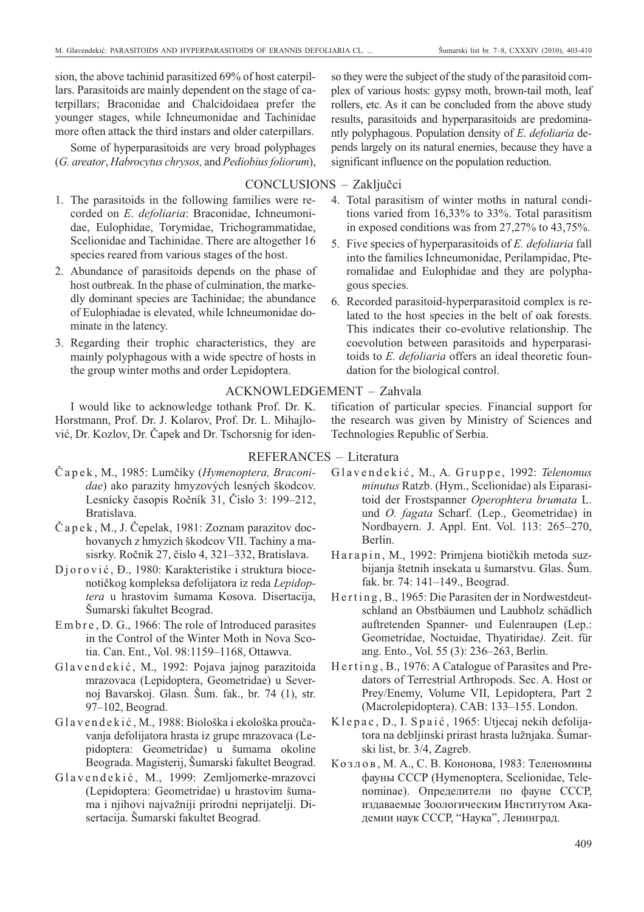sion, the above tachinid parasitized 69% of host caterpillars. Parasitoids are mainly dependent on the stage of caterpillars; Braconidae and Chalcidoidaea prefer the younger stages, while Ichneumonidae and Tachinidae more often attack the third instars and older caterpillars.

Some of hyperparasitoids are very broad polyphages (*G. areator, Habrocytus chrysos, and Pediobius foliorum*),

# CONCLUSIONS – Zaključci

- 1. The parasitoids in the following families were recorded on *E*. *defoliaria*: Braconidae, Ichneumonidae, Eulophidae, Torymidae, Trichogrammatidae, Scelionidae and Tachinidae. There are altogether 16 species reared from various stages of the host.
- 2. Abundance of parasitoids depends on the phase of host outbreak. In the phase of culmination, the markedly dominant species are Tachinidae; the abundance of Eulophiadae is elevated, while Ichneumonidae dominate in the latency.
- 3. Regarding their trophic characteristics, they are mainly polyphagous with a wide spectre of hosts in the group winter moths and order Lepidoptera.

I would like to acknowledge tothank Prof. Dr. K. Horstmann, Prof. Dr. J. Kolarov, Prof. Dr. L. Mihajlović, Dr. Kozlov, Dr. Čapek and Dr. Tschorsnig for iden-

REFERANCES – Literatura

- Č a p e k , M., 1985: Lumčíky (*Hymenoptera, Braconidae*) ako parazity hmyzových lesných škodcov. Lesnícky časopis Ročník 31, Čislo 3: 199–212, Bratislava.
- Č a p e k , M., J. Čepelak, 1981: Zoznam parazitov dochovanych z hmyzich škodcov VII. Tachiny a masisrky. Ročnik 27, čislo 4, 321–332, Bratislava.
- Djorović, Đ., 1980: Karakteristike i struktura biocenotičkog kompleksa defolijatora iz reda *Lepidoptera* u hrastovim šumama Kosova. Disertacija, Šumarski fakultet Beograd.
- Embre, D. G., 1966: The role of Introduced parasites in the Control of the Winter Moth in Nova Scotia. Can. Ent., Vol. 98:1159–1168, Ottawva.
- Glavendekić, M., 1992: Pojava jajnog parazitoida mrazovaca (Lepidoptera, Geometridae) u Severnoj Bavarskoj. Glasn. Šum. fak., br. 74 (1), str. 97–102, Beograd.
- G l a v e n d e k i ć , M., 1988: Biološka i ekološka proučavanja defolijatora hrasta iz grupe mrazovaca (Lepidoptera: Geometridae) u šumama okoline Beograda. Magisterij, Šumarski fakultet Beograd.
- Glavendekić, M., 1999: Zemljomerke-mrazovci (Lepidoptera: Geometridae) u hrastovim šuma ma i njihovi najvažniji prirodni neprijatelji. Disertacija. Šumarski fakultet Beograd.

so they were the subject of the study of the parasitoid complex of various hosts: gypsy moth, brown-tail moth, leaf rollers, etc. As it can be concluded from the above study results, parasitoids and hyperparasitoids are predominantly polyphagous. Population density of *E*. *defoliaria* depends largely on its natural enemies, because they have a significant influence on the population reduction.

- 4. Total parasitism of winter moths in natural conditions varied from 16,33% to 33%. Total parasitism in exposed conditions was from 27,27% to 43,75%.
- 5. Five species of hyperparasitoids of *E. defoliaria* fall into the families Ichneumonidae, Perilampidae, Pteromalidae and Eulophidae and they are polyphagous species.
- 6. Recorded parasitoid-hyperparasitoid complex is related to the host species in the belt of oak forests. This indicates their co-evolutive relationship. The coevolution between parasitoids and hyperparasitoids to *E. defoliaria* offers an ideal theoretic foundation for the biological control.

# ACKNOWLEDGEMENT – Zahvala

tification of particular species. Financial support for the research was given by Ministry of Sciences and Technologies Republic of Serbia.

- G l a v e n d e k i ć , M., A. G r u p p e , 1992: *Telenomus minutus* Ratzb. (Hym., Scelionidae) als Eiparasitoid der Frostspanner *Operophtera brumata* L. und *O. fagata* Scharf. (Lep., Geometridae) in Nordbayern. J. Appl. Ent. Vol. 113: 265–270, Berlin.
- Harapin, M., 1992: Primjena biotičkih metoda suzbijanja štetnih insekata u šumarstvu. Glas. Šum. fak. br. 74: 141–149., Beograd.
- Herting, B., 1965: Die Parasiten der in Nordwestdeutschland an Obstbäumen und Laubholz schädlich auftretenden Spanner- und Eulenraupen (Lep.: Geometridae, Noctuidae, Thyatiridae*).* Zeit. für ang. Ento., Vol. 55 (3): 236–263, Berlin.
- Herting, B., 1976: A Catalogue of Parasites and Predators of Terrestrial Arthropods. Sec. A. Host or Prey/Enemy, Volume VII, Lepidoptera, Part 2 (Macrolepidoptera). CAB: 133–155. London.
- Klepac, D., I. Spaić, 1965: Utjecaj nekih defolijatora na debljinski prirast hrasta lužnjaka. Šumarski list, br. 3/4, Zagreb.
- Ко з л о в , М. А., С. В. Кононова, 1983: Теленомины фауны СССР (Hymenoptera, Scelionidae, Telenominae). Определители по фауне СССР, издаваемые Зоологическим Институтом Академии наук СССР, "Наука", Ленинград.